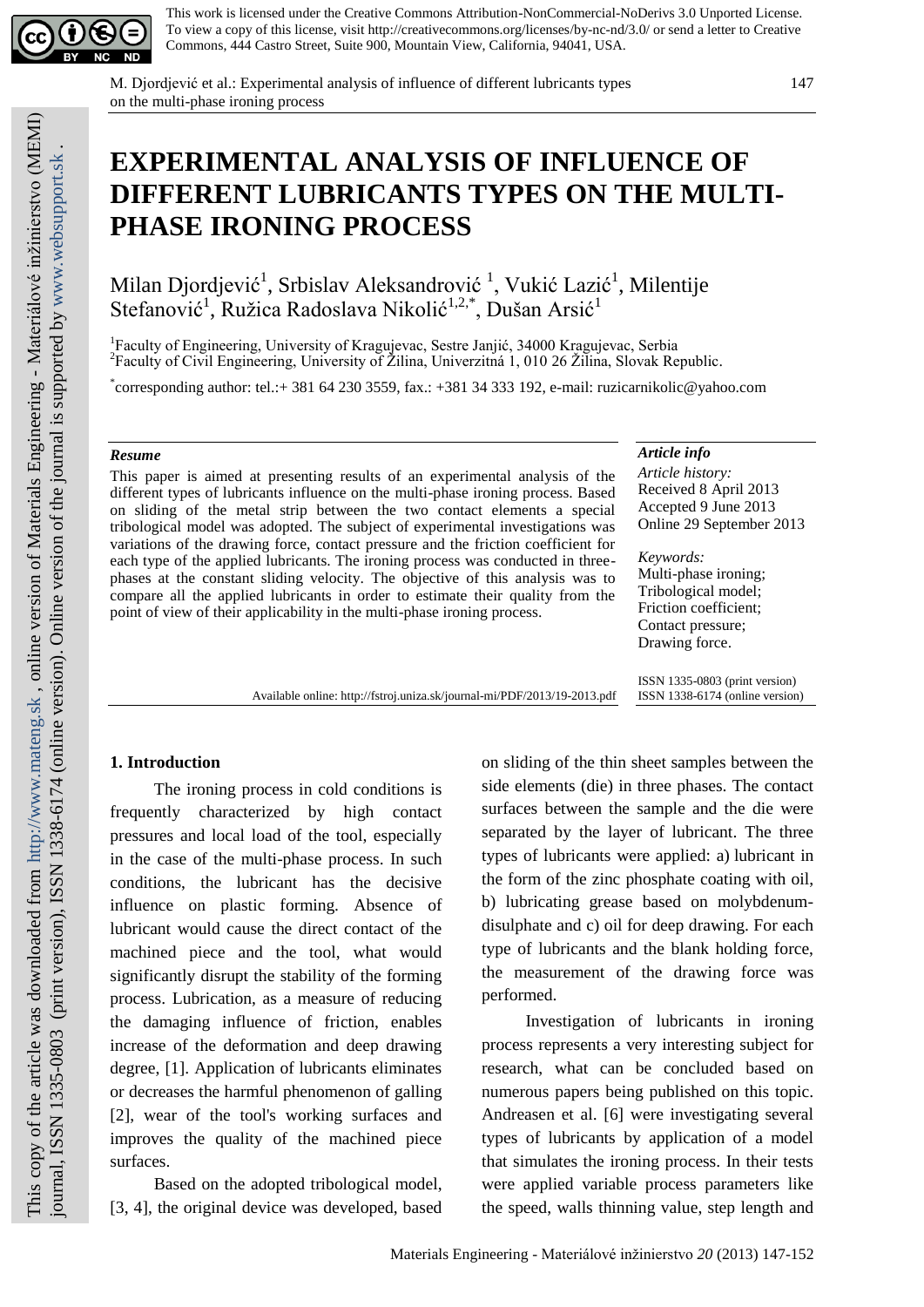

This work is licensed under the Creative Commons Attribution-NonCommercial-NoDerivs 3.0 Unported License. To view a copy of this license, visit http://creativecommons.org/licenses/by-nc-nd/3.0/ or send a letter to Creative Commons, 444 Castro Street, Suite 900, Mountain View, California, 94041, USA.

M. Djordjević et al.: Experimental analysis of influence of different lubricants types on the multi-phase ironing process

# **EXPERIMENTAL ANALYSIS OF INFLUENCE OF DIFFERENT LUBRICANTS TYPES ON THE MULTI-PHASE IRONING PROCESS**

Milan Djordjević<sup>1</sup>, Srbislav Aleksandrović <sup>1</sup>, Vukić Lazić<sup>1</sup>, Milentije Stefanović<sup>1</sup>, Ružica Radoslava Nikolić<sup>1,2,\*</sup>, Dušan Arsić<sup>1</sup>

<sup>1</sup>Faculty of Engineering, University of Kragujevac, Sestre Janjić, 34000 Kragujevac, Serbia <sup>2</sup> Faculty of Civil Engineering, University of Žilina, Univerzitná 1, 010 26 Žilina, Slovak Republic.

\* corresponding author: tel.:+ 381 64 230 3559, fax.: +381 34 333 192, e-mail: ruzicarnikolic@yahoo.com

### *Resume*

This paper is aimed at presenting results of an experimental analysis of the different types of lubricants influence on the multi-phase ironing process. Based on sliding of the metal strip between the two contact elements a special tribological model was adopted. The subject of experimental investigations was variations of the drawing force, contact pressure and the friction coefficient for each type of the applied lubricants. The ironing process was conducted in threephases at the constant sliding velocity. The objective of this analysis was to compare all the applied lubricants in order to estimate their quality from the point of view of their applicability in the multi-phase ironing process.

#### *Article info*

*Article history:* Received 8 April 2013 Accepted 9 June 2013 Online 29 September 2013

*Keywords:* Multi-phase ironing;

Tribological model; Friction coefficient; Contact pressure; Drawing force.

Available online: http://fstroj.uniza.sk/journal-mi/PDF/2013/19-2013.pdf

ISSN 1335-0803 (print version) ISSN 1338-6174 (online version)

## **1. Introduction**

The ironing process in cold conditions is frequently characterized by high contact pressures and local load of the tool, especially in the case of the multi-phase process. In such conditions, the lubricant has the decisive influence on plastic forming. Absence of lubricant would cause the direct contact of the machined piece and the tool, what would significantly disrupt the stability of the forming process. Lubrication, as a measure of reducing the damaging influence of friction, enables increase of the deformation and deep drawing degree, [1]. Application of lubricants eliminates or decreases the harmful phenomenon of galling [2], wear of the tool's working surfaces and improves the quality of the machined piece surfaces.

Based on the adopted tribological model, [3, 4], the original device was developed, based on sliding of the thin sheet samples between the side elements (die) in three phases. The contact surfaces between the sample and the die were separated by the layer of lubricant. The three types of lubricants were applied: a) lubricant in the form of the zinc phosphate coating with oil, b) lubricating grease based on molybdenumdisulphate and c) oil for deep drawing. For each type of lubricants and the blank holding force, the measurement of the drawing force was performed.

Investigation of lubricants in ironing process represents a very interesting subject for research, what can be concluded based on numerous papers being published on this topic. Andreasen et al. [6] were investigating several types of lubricants by application of a model that simulates the ironing process. In their tests were applied variable process parameters like the speed, walls thinning value, step length and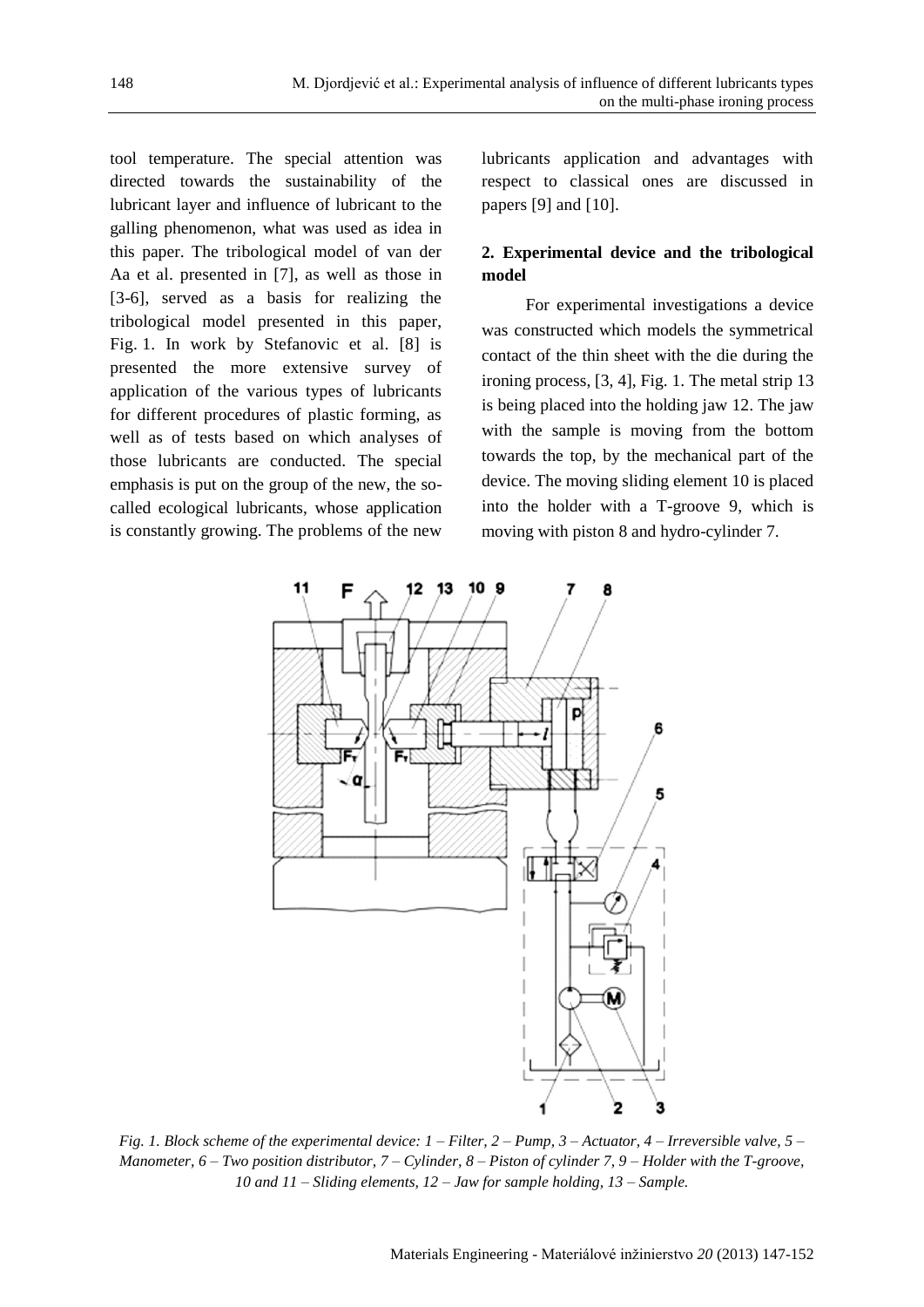tool temperature. The special attention was directed towards the sustainability of the lubricant layer and influence of lubricant to the galling phenomenon, what was used as idea in this paper. The tribological model of van der Aa et al. presented in [7], as well as those in [3-6], served as a basis for realizing the tribological model presented in this paper, Fig. 1. In work by Stefanovic et al. [8] is presented the more extensive survey of application of the various types of lubricants for different procedures of plastic forming, as well as of tests based on which analyses of those lubricants are conducted. The special emphasis is put on the group of the new, the socalled ecological lubricants, whose application is constantly growing. The problems of the new lubricants application and advantages with respect to classical ones are discussed in papers [9] and [10].

# **2. Experimental device and the tribological model**

For experimental investigations a device was constructed which models the symmetrical contact of the thin sheet with the die during the ironing process, [3, 4], Fig. 1. The metal strip 13 is being placed into the holding jaw 12. The jaw with the sample is moving from the bottom towards the top, by the mechanical part of the device. The moving sliding element 10 is placed into the holder with a T-groove 9, which is moving with piston 8 and hydro-cylinder 7.



*Fig. 1. Block scheme of the experimental device: 1 – Filter, 2 – Pump, 3 – Actuator, 4 – Irreversible valve, 5 – Manometer, 6 – Two position distributor, 7 – Cylinder, 8 – Piston of cylinder 7, 9 – Holder with the T-groove, 10 and 11 – Sliding elements, 12 – Jaw for sample holding, 13 – Sample.*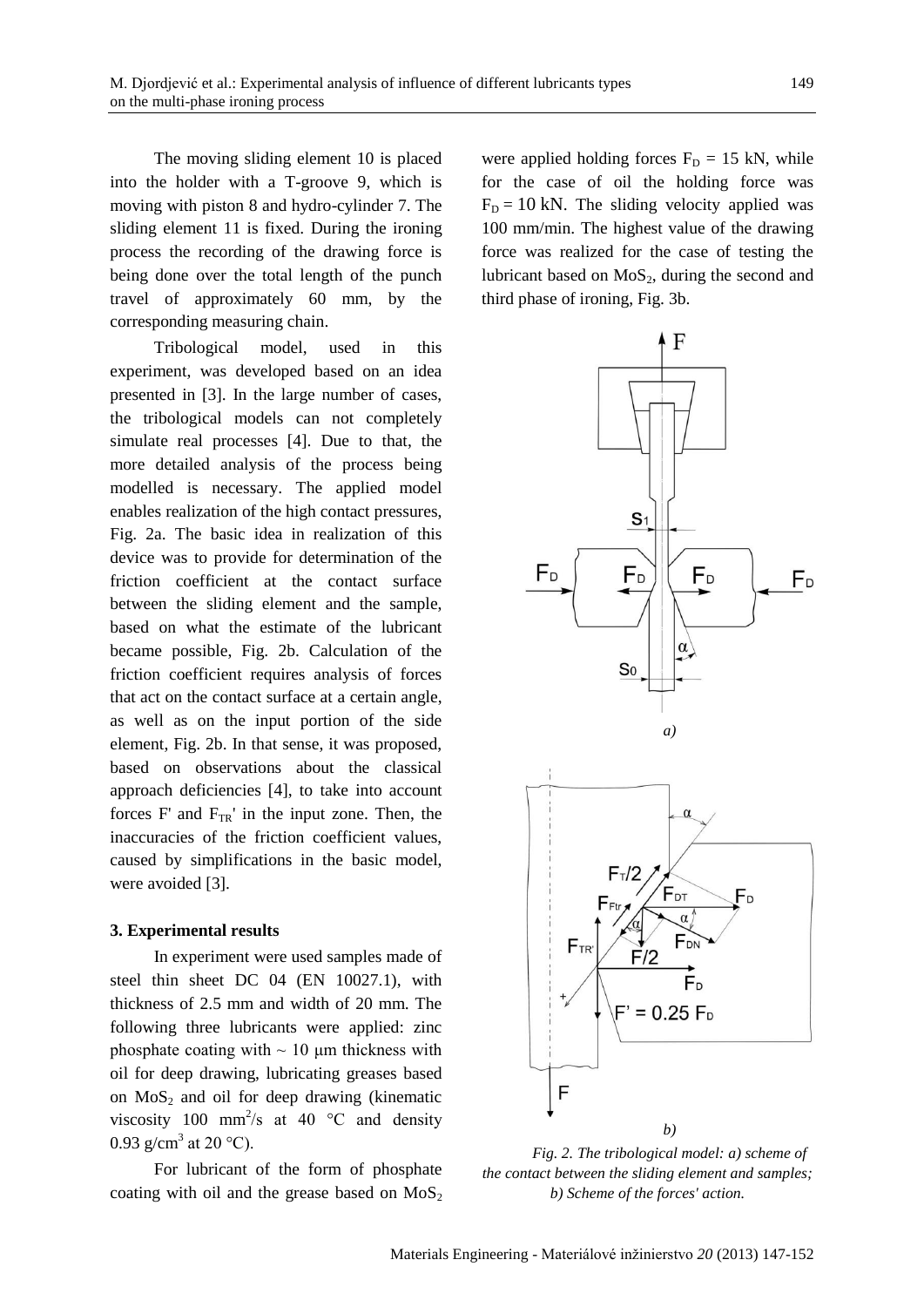The moving sliding element 10 is placed into the holder with a T-groove 9, which is moving with piston 8 and hydro-cylinder 7. The sliding element 11 is fixed. During the ironing process the recording of the drawing force is being done over the total length of the punch travel of approximately 60 mm, by the corresponding measuring chain.

Tribological model, used in this experiment, was developed based on an idea presented in [3]. In the large number of cases, the tribological models can not completely simulate real processes [4]. Due to that, the more detailed analysis of the process being modelled is necessary. The applied model enables realization of the high contact pressures, Fig. 2a. The basic idea in realization of this device was to provide for determination of the friction coefficient at the contact surface between the sliding element and the sample, based on what the estimate of the lubricant became possible, Fig. 2b. Calculation of the friction coefficient requires analysis of forces that act on the contact surface at a certain angle, as well as on the input portion of the side element, Fig. 2b. In that sense, it was proposed, based on observations about the classical approach deficiencies [4], to take into account forces F' and  $F_{TR}$ ' in the input zone. Then, the inaccuracies of the friction coefficient values, caused by simplifications in the basic model, were avoided [3].

## **3. Experimental results**

In experiment were used samples made of steel thin sheet DC 04 (EN 10027.1), with thickness of 2.5 mm and width of 20 mm. The following three lubricants were applied: zinc phosphate coating with  $\sim 10 \mu$ m thickness with oil for deep drawing, lubricating greases based on  $MoS<sub>2</sub>$  and oil for deep drawing (kinematic viscosity 100 mm<sup>2</sup>/s at 40  $\degree$ C and density 0.93 g/cm<sup>3</sup> at 20 °C).

For lubricant of the form of phosphate coating with oil and the grease based on  $MoS<sub>2</sub>$  were applied holding forces  $F_D = 15$  kN, while for the case of oil the holding force was  $F<sub>D</sub> = 10$  kN. The sliding velocity applied was 100 mm/min. The highest value of the drawing force was realized for the case of testing the lubricant based on  $MoS<sub>2</sub>$ , during the second and third phase of ironing, Fig. 3b.



*Fig. 2. The tribological model: a) scheme of the contact between the sliding element and samples; b) Scheme of the forces' action.*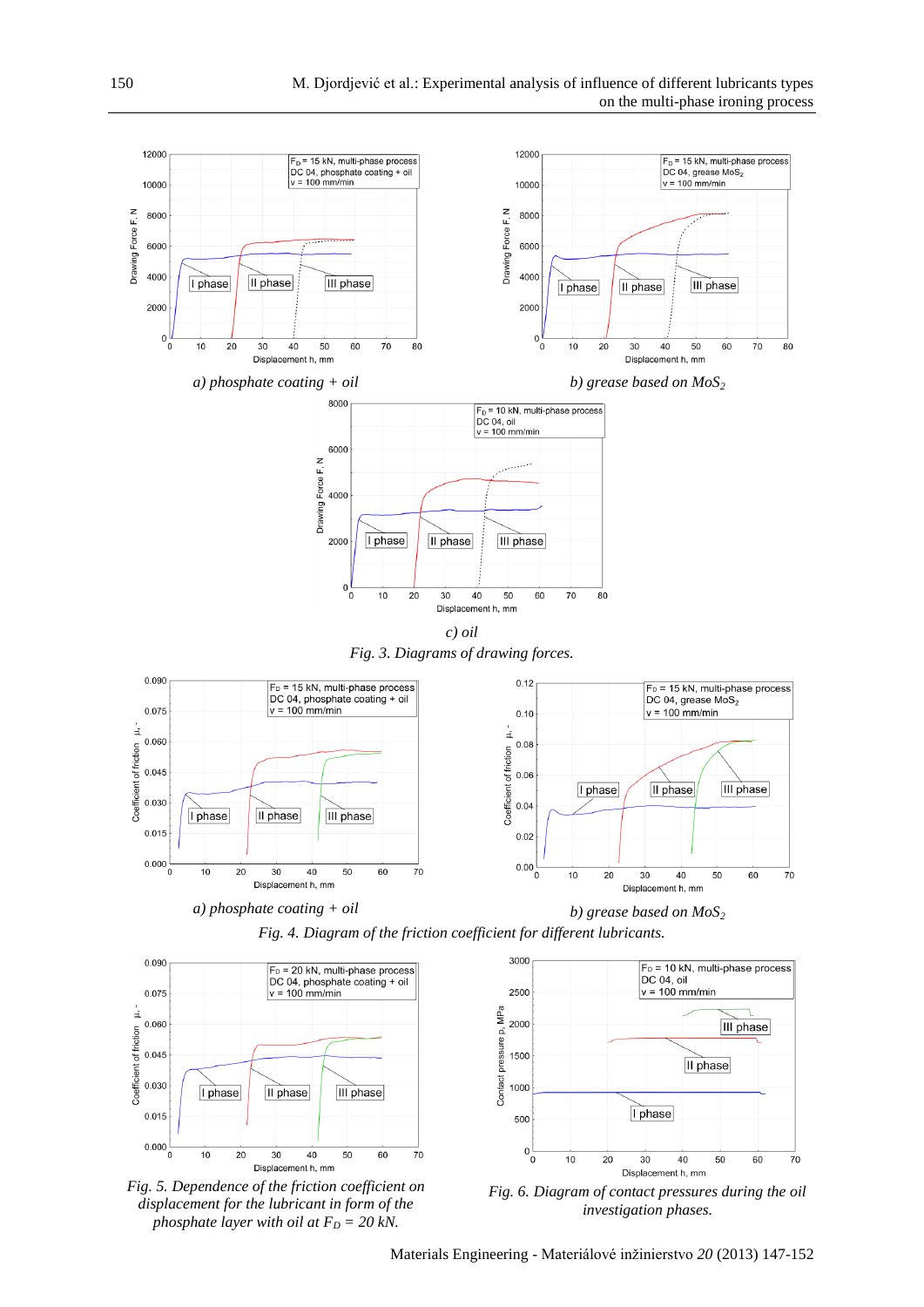

*Fig. 4. Diagram of the friction coefficient for different lubricants.*



*a) phosphate coating + oil b) grease based on MoS<sup>2</sup>*





*Fig. 5. Dependence of the friction coefficient on displacement for the lubricant in form of the phosphate layer with oil at*  $F<sub>D</sub> = 20$  *kN*.



*Fig. 6. Diagram of contact pressures during the oil investigation phases.*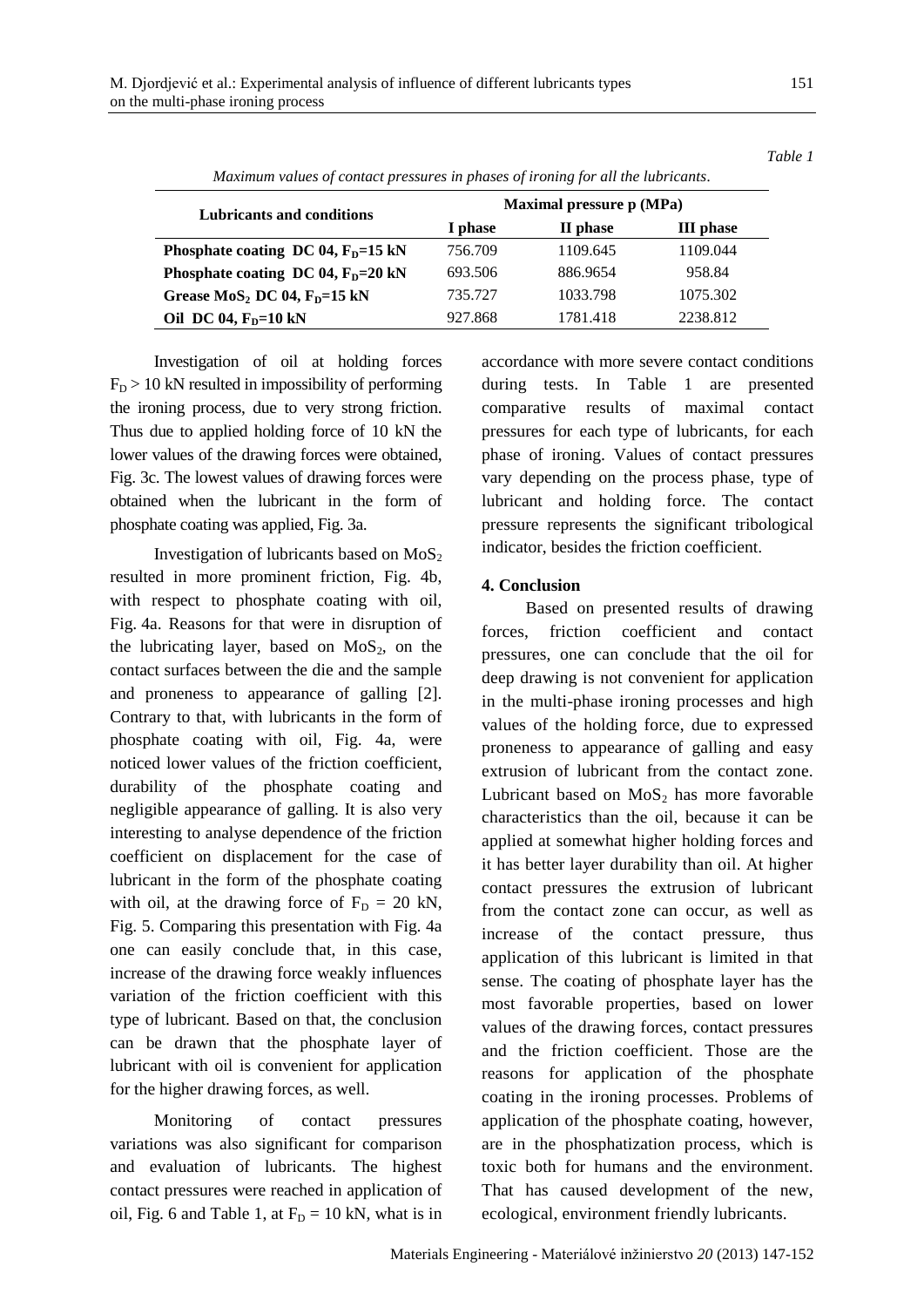| Maximum values of contact pressures in phases of ironing for all the lubricants. |                          |          |                  |
|----------------------------------------------------------------------------------|--------------------------|----------|------------------|
| <b>Lubricants and conditions</b>                                                 | Maximal pressure p (MPa) |          |                  |
|                                                                                  | I phase                  | II phase | <b>III</b> phase |
| Phosphate coating DC 04, $FD=15$ kN                                              | 756.709                  | 1109.645 | 1109.044         |
| Phosphate coating DC 04, $FD=20$ kN                                              | 693.506                  | 886.9654 | 958.84           |
| Grease $MoS2$ DC 04, $FD=15$ kN                                                  | 735.727                  | 1033.798 | 1075.302         |
| Oil DC 04, $FD=10$ kN                                                            | 927.868                  | 1781.418 | 2238.812         |

Investigation of oil at holding forces  $F_D > 10$  kN resulted in impossibility of performing the ironing process, due to very strong friction. Thus due to applied holding force of 10 kN the lower values of the drawing forces were obtained, Fig. 3c. The lowest values of drawing forces were obtained when the lubricant in the form of phosphate coating was applied, Fig. 3a.

Investigation of lubricants based on  $MoS<sub>2</sub>$ resulted in more prominent friction, Fig. 4b, with respect to phosphate coating with oil, Fig. 4a. Reasons for that were in disruption of the lubricating layer, based on  $MoS<sub>2</sub>$ , on the contact surfaces between the die and the sample and proneness to appearance of galling [2]. Contrary to that, with lubricants in the form of phosphate coating with oil, Fig. 4a, were noticed lower values of the friction coefficient, durability of the phosphate coating and negligible appearance of galling. It is also very interesting to analyse dependence of the friction coefficient on displacement for the case of lubricant in the form of the phosphate coating with oil, at the drawing force of  $F_D = 20$  kN, Fig. 5. Comparing this presentation with Fig. 4a one can easily conclude that, in this case, increase of the drawing force weakly influences variation of the friction coefficient with this type of lubricant. Based on that, the conclusion can be drawn that the phosphate layer of lubricant with oil is convenient for application for the higher drawing forces, as well.

Monitoring of contact pressures variations was also significant for comparison and evaluation of lubricants. The highest contact pressures were reached in application of oil, Fig. 6 and Table 1, at  $F_D = 10$  kN, what is in accordance with more severe contact conditions during tests. In Table 1 are presented comparative results of maximal contact pressures for each type of lubricants, for each phase of ironing. Values of contact pressures vary depending on the process phase, type of lubricant and holding force. The contact pressure represents the significant tribological indicator, besides the friction coefficient.

## **4. Conclusion**

Based on presented results of drawing forces, friction coefficient and contact pressures, one can conclude that the oil for deep drawing is not convenient for application in the multi-phase ironing processes and high values of the holding force, due to expressed proneness to appearance of galling and easy extrusion of lubricant from the contact zone. Lubricant based on  $MoS<sub>2</sub>$  has more favorable characteristics than the oil, because it can be applied at somewhat higher holding forces and it has better layer durability than oil. At higher contact pressures the extrusion of lubricant from the contact zone can occur, as well as increase of the contact pressure, thus application of this lubricant is limited in that sense. The coating of phosphate layer has the most favorable properties, based on lower values of the drawing forces, contact pressures and the friction coefficient. Those are the reasons for application of the phosphate coating in the ironing processes. Problems of application of the phosphate coating, however, are in the phosphatization process, which is toxic both for humans and the environment. That has caused development of the new, ecological, environment friendly lubricants.

151